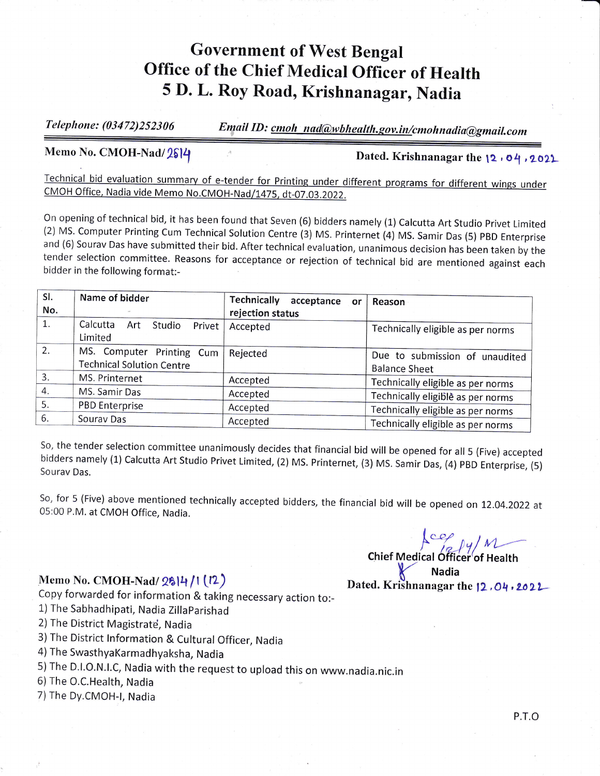## Government of West Bengal office of the chief Medical officer of Health 5 D. L. Roy Road, Krishnanagar, Nadia

Telephone: (03472)252306 Email ID: cmoh nad@wbhealth.gov.in/cmohnadia@gmail.com

Memo No. CMOH-Nad/2614 and the 12 , 04, 2021

Technical bid evaluation summary of e-tender for Printing under different programs for different wings under<br>CMOH Office, Nadia vide Memo No.CMOH-Nad/1475. dt-07.03.2022.

On opening of technical bid, it has been found that Seven (6) bidders namely (1) Calcutta Art Studio Privet Limited (2) MS. Computer Printing Cum Technical Solution Centre (3) MS. Printernet (4) MS. Samir Das (5) PBD Enter tender selection committee. Reasons for acceptance or rejection of technical bid are mentioned against each bidder in the following format:-

| SI. | Name of bidder                      | Technically<br>acceptance<br>or | Reason                            |
|-----|-------------------------------------|---------------------------------|-----------------------------------|
| No. |                                     | rejection status                |                                   |
| 1.  | Calcutta<br>Art<br>Studio<br>Privet | Accepted                        | Technically eligible as per norms |
|     | Limited                             |                                 |                                   |
| 2.  | MS. Computer Printing Cum           | Rejected                        | Due to submission of unaudited    |
|     | <b>Technical Solution Centre</b>    |                                 | <b>Balance Sheet</b>              |
| 3.  | MS. Printernet                      | Accepted                        | Technically eligible as per norms |
| 4.  | MS. Samir Das                       | Accepted                        | Technically eligible as per norms |
| 5.  | <b>PBD Enterprise</b>               | Accepted                        | Technically eligible as per norms |
| 6.  | Sourav Das                          | Accepted                        |                                   |
|     |                                     |                                 | Technically eligible as per norms |

So, the tender selection committee unanimously decides that financial bid will be opened for all 5 (Five) accepted bidders namely (1) Calcutta Art Studio Privet Limited, (2) MS. Printernet, (3) MS. Samir Das, (4) PBD Enter

So, for 5 (Five) above mentioned technically accepted bidders, the financial bid will be opened on 12.04.2022 at 05:00 P.M. at CMOH Office. Nadia.

- 
- 1) The Sabhadhipati, Nadia Zillaparishad
- 2) The District Magistrate, Nadia
- 3) The District lnformation & Cultural Officer, Nadia
- ) The SwasthyaKarmadhyaksha, Nadia
- 5)The D.l.o.N.l.c, Nadia with the request to upload this on www.nadia.nic.in
- 6) The O.C.Health, Nadia
- 7)The Dy.CMOH-|, Nadia

Chief Medical Officer of Health Memo No. CMOH-Nad/ 2614 /1 (12) Dated. Krishnanagar the 12, 04, 2022